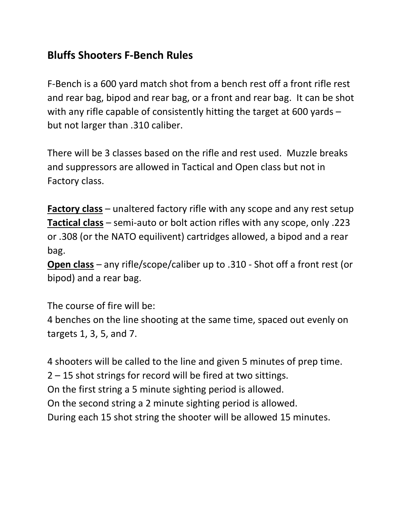## Bluffs Shooters F-Bench Rules

F-Bench is a 600 yard match shot from a bench rest off a front rifle rest and rear bag, bipod and rear bag, or a front and rear bag. It can be shot with any rifle capable of consistently hitting the target at 600 yards – but not larger than .310 caliber.

There will be 3 classes based on the rifle and rest used. Muzzle breaks and suppressors are allowed in Tactical and Open class but not in Factory class.

Factory class – unaltered factory rifle with any scope and any rest setup Tactical class – semi-auto or bolt action rifles with any scope, only .223 or .308 (or the NATO equilivent) cartridges allowed, a bipod and a rear bag.

Open class – any rifle/scope/caliber up to .310 - Shot off a front rest (or bipod) and a rear bag.

The course of fire will be:

4 benches on the line shooting at the same time, spaced out evenly on targets 1, 3, 5, and 7.

4 shooters will be called to the line and given 5 minutes of prep time. 2 – 15 shot strings for record will be fired at two sittings. On the first string a 5 minute sighting period is allowed. On the second string a 2 minute sighting period is allowed. During each 15 shot string the shooter will be allowed 15 minutes.